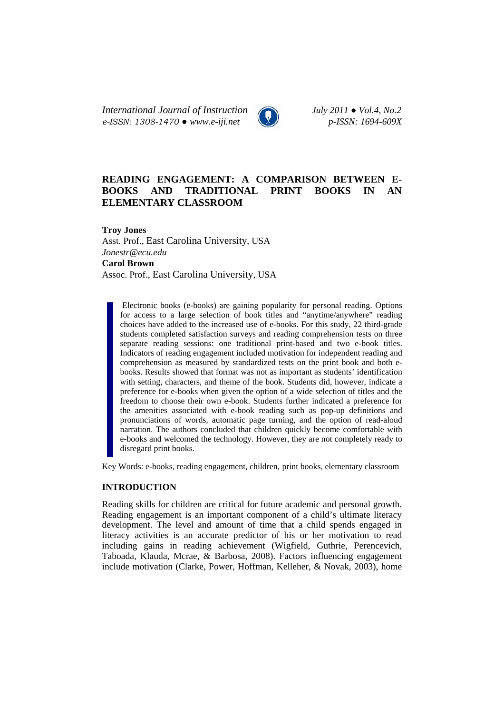*International Journal of Instruction July 2011 ● Vol.4, No.2 e-ISSN: 1308-1470 ● www.e-iji.net p-ISSN: 1694-609X*

# **READING ENGAGEMENT: A COMPARISON BETWEEN E-BOOKS AND TRADITIONAL PRINT BOOKS IN AN ELEMENTARY CLASSROOM**

**Troy Jones**  Asst. Prof., East Carolina University, USA *Jonestr@ecu.edu* **Carol Brown**  Assoc. Prof., East Carolina University, USA

Electronic books (e-books) are gaining popularity for personal reading. Options for access to a large selection of book titles and "anytime/anywhere" reading choices have added to the increased use of e-books. For this study, 22 third-grade students completed satisfaction surveys and reading comprehension tests on three separate reading sessions: one traditional print-based and two e-book titles. Indicators of reading engagement included motivation for independent reading and comprehension as measured by standardized tests on the print book and both ebooks. Results showed that format was not as important as students' identification with setting, characters, and theme of the book. Students did, however, indicate a preference for e-books when given the option of a wide selection of titles and the freedom to choose their own e-book. Students further indicated a preference for the amenities associated with e-book reading such as pop-up definitions and pronunciations of words, automatic page turning, and the option of read-aloud narration. The authors concluded that children quickly become comfortable with e-books and welcomed the technology. However, they are not completely ready to disregard print books.

Key Words: e-books, reading engagement, children, print books, elementary classroom

### **INTRODUCTION**

Reading skills for children are critical for future academic and personal growth. Reading engagement is an important component of a child's ultimate literacy development. The level and amount of time that a child spends engaged in literacy activities is an accurate predictor of his or her motivation to read including gains in reading achievement (Wigfield, Guthrie, Perencevich, Taboada, Klauda, Mcrae, & Barbosa, 2008). Factors influencing engagement include motivation (Clarke, Power, Hoffman, Kelleher, & Novak, 2003), home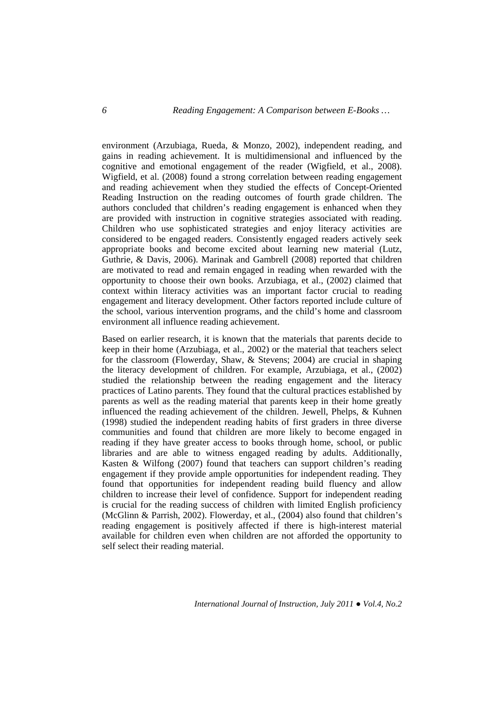environment (Arzubiaga, Rueda, & Monzo, 2002), independent reading, and gains in reading achievement. It is multidimensional and influenced by the cognitive and emotional engagement of the reader (Wigfield, et al., 2008). Wigfield, et al. (2008) found a strong correlation between reading engagement and reading achievement when they studied the effects of Concept-Oriented Reading Instruction on the reading outcomes of fourth grade children. The authors concluded that children's reading engagement is enhanced when they are provided with instruction in cognitive strategies associated with reading. Children who use sophisticated strategies and enjoy literacy activities are considered to be engaged readers. Consistently engaged readers actively seek appropriate books and become excited about learning new material (Lutz, Guthrie, & Davis, 2006). Marinak and Gambrell (2008) reported that children are motivated to read and remain engaged in reading when rewarded with the opportunity to choose their own books. Arzubiaga, et al., (2002) claimed that context within literacy activities was an important factor crucial to reading engagement and literacy development. Other factors reported include culture of the school, various intervention programs, and the child's home and classroom environment all influence reading achievement.

Based on earlier research, it is known that the materials that parents decide to keep in their home (Arzubiaga, et al., 2002) or the material that teachers select for the classroom (Flowerday, Shaw, & Stevens; 2004) are crucial in shaping the literacy development of children. For example, Arzubiaga, et al., (2002) studied the relationship between the reading engagement and the literacy practices of Latino parents. They found that the cultural practices established by parents as well as the reading material that parents keep in their home greatly influenced the reading achievement of the children. Jewell, Phelps, & Kuhnen (1998) studied the independent reading habits of first graders in three diverse communities and found that children are more likely to become engaged in reading if they have greater access to books through home, school, or public libraries and are able to witness engaged reading by adults. Additionally, Kasten & Wilfong (2007) found that teachers can support children's reading engagement if they provide ample opportunities for independent reading. They found that opportunities for independent reading build fluency and allow children to increase their level of confidence. Support for independent reading is crucial for the reading success of children with limited English proficiency (McGlinn & Parrish, 2002). Flowerday, et al., (2004) also found that children's reading engagement is positively affected if there is high-interest material available for children even when children are not afforded the opportunity to self select their reading material.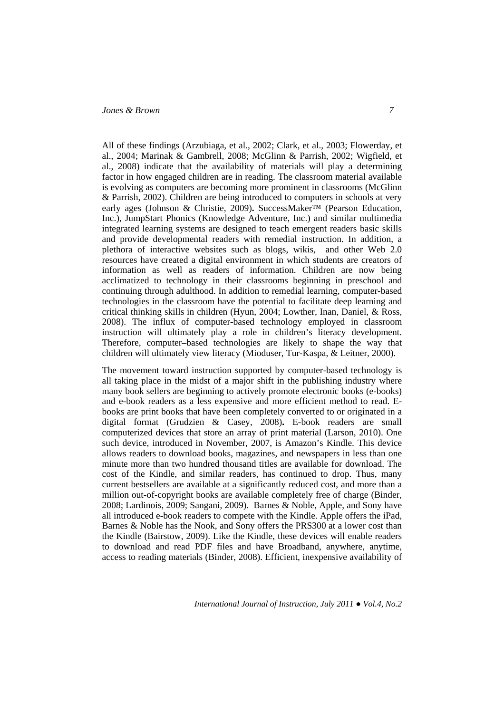All of these findings (Arzubiaga, et al., 2002; Clark, et al., 2003; Flowerday, et al., 2004; Marinak & Gambrell, 2008; McGlinn & Parrish, 2002; Wigfield, et al., 2008) indicate that the availability of materials will play a determining factor in how engaged children are in reading. The classroom material available is evolving as computers are becoming more prominent in classrooms (McGlinn & Parrish, 2002). Children are being introduced to computers in schools at very early ages (Johnson & Christie, 2009). SuccessMaker™ (Pearson Education, Inc.), JumpStart Phonics (Knowledge Adventure, Inc.) and similar multimedia integrated learning systems are designed to teach emergent readers basic skills and provide developmental readers with remedial instruction. In addition, a plethora of interactive websites such as blogs, wikis, and other Web 2.0 resources have created a digital environment in which students are creators of information as well as readers of information. Children are now being acclimatized to technology in their classrooms beginning in preschool and continuing through adulthood. In addition to remedial learning, computer-based technologies in the classroom have the potential to facilitate deep learning and critical thinking skills in children (Hyun, 2004; Lowther, Inan, Daniel, & Ross, 2008). The influx of computer-based technology employed in classroom instruction will ultimately play a role in children's literacy development. Therefore, computer–based technologies are likely to shape the way that children will ultimately view literacy (Mioduser, Tur-Kaspa, & Leitner, 2000).

The movement toward instruction supported by computer-based technology is all taking place in the midst of a major shift in the publishing industry where many book sellers are beginning to actively promote electronic books (e-books) and e-book readers as a less expensive and more efficient method to read. Ebooks are print books that have been completely converted to or originated in a digital format (Grudzien & Casey, 2008)**.** E-book readers are small computerized devices that store an array of print material (Larson, 2010). One such device, introduced in November, 2007, is Amazon's Kindle. This device allows readers to download books, magazines, and newspapers in less than one minute more than two hundred thousand titles are available for download. The cost of the Kindle, and similar readers, has continued to drop. Thus, many current bestsellers are available at a significantly reduced cost, and more than a million out-of-copyright books are available completely free of charge (Binder, 2008; Lardinois, 2009; Sangani, 2009). Barnes & Noble, Apple, and Sony have all introduced e-book readers to compete with the Kindle. Apple offers the iPad, Barnes & Noble has the Nook, and Sony offers the PRS300 at a lower cost than the Kindle (Bairstow, 2009). Like the Kindle, these devices will enable readers to download and read PDF files and have Broadband, anywhere, anytime, access to reading materials (Binder, 2008). Efficient, inexpensive availability of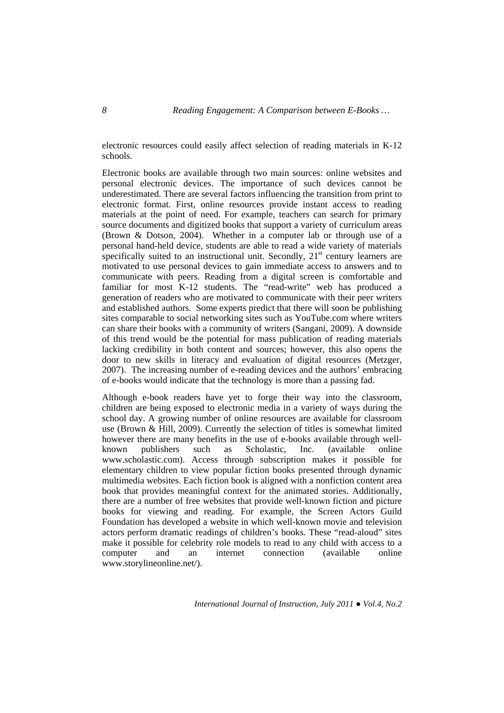electronic resources could easily affect selection of reading materials in K-12 schools.

Electronic books are available through two main sources: online websites and personal electronic devices. The importance of such devices cannot be underestimated. There are several factors influencing the transition from print to electronic format. First, online resources provide instant access to reading materials at the point of need. For example, teachers can search for primary source documents and digitized books that support a variety of curriculum areas (Brown & Dotson, 2004). Whether in a computer lab or through use of a personal hand-held device, students are able to read a wide variety of materials specifically suited to an instructional unit. Secondly,  $21<sup>st</sup>$  century learners are motivated to use personal devices to gain immediate access to answers and to communicate with peers. Reading from a digital screen is comfortable and familiar for most K-12 students. The "read-write" web has produced a generation of readers who are motivated to communicate with their peer writers and established authors. Some experts predict that there will soon be publishing sites comparable to social networking sites such as YouTube.com where writers can share their books with a community of writers (Sangani, 2009). A downside of this trend would be the potential for mass publication of reading materials lacking credibility in both content and sources; however, this also opens the door to new skills in literacy and evaluation of digital resources (Metzger, 2007). The increasing number of e-reading devices and the authors' embracing of e-books would indicate that the technology is more than a passing fad.

Although e-book readers have yet to forge their way into the classroom, children are being exposed to electronic media in a variety of ways during the school day. A growing number of online resources are available for classroom use (Brown & Hill, 2009). Currently the selection of titles is somewhat limited however there are many benefits in the use of e-books available through wellknown publishers such as Scholastic, Inc. (available online www.scholastic.com). Access through subscription makes it possible for elementary children to view popular fiction books presented through dynamic multimedia websites. Each fiction book is aligned with a nonfiction content area book that provides meaningful context for the animated stories. Additionally, there are a number of free websites that provide well-known fiction and picture books for viewing and reading. For example, the Screen Actors Guild Foundation has developed a website in which well-known movie and television actors perform dramatic readings of children's books. These "read-aloud" sites make it possible for celebrity role models to read to any child with access to a computer and an internet connection (available online www.storylineonline.net/).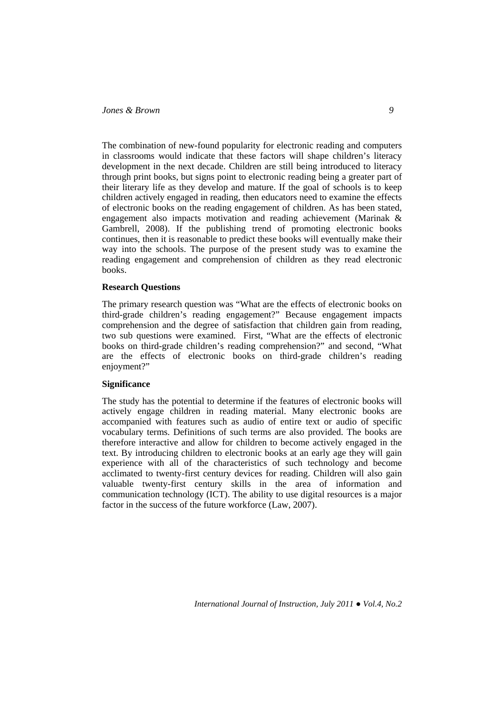The combination of new-found popularity for electronic reading and computers in classrooms would indicate that these factors will shape children's literacy development in the next decade. Children are still being introduced to literacy through print books, but signs point to electronic reading being a greater part of their literary life as they develop and mature. If the goal of schools is to keep children actively engaged in reading, then educators need to examine the effects of electronic books on the reading engagement of children. As has been stated, engagement also impacts motivation and reading achievement (Marinak & Gambrell, 2008). If the publishing trend of promoting electronic books continues, then it is reasonable to predict these books will eventually make their way into the schools. The purpose of the present study was to examine the reading engagement and comprehension of children as they read electronic books.

### **Research Questions**

The primary research question was "What are the effects of electronic books on third-grade children's reading engagement?" Because engagement impacts comprehension and the degree of satisfaction that children gain from reading, two sub questions were examined. First, "What are the effects of electronic books on third-grade children's reading comprehension?" and second, "What are the effects of electronic books on third-grade children's reading enjoyment?"

### **Significance**

The study has the potential to determine if the features of electronic books will actively engage children in reading material. Many electronic books are accompanied with features such as audio of entire text or audio of specific vocabulary terms. Definitions of such terms are also provided. The books are therefore interactive and allow for children to become actively engaged in the text. By introducing children to electronic books at an early age they will gain experience with all of the characteristics of such technology and become acclimated to twenty-first century devices for reading. Children will also gain valuable twenty-first century skills in the area of information and communication technology (ICT). The ability to use digital resources is a major factor in the success of the future workforce (Law, 2007).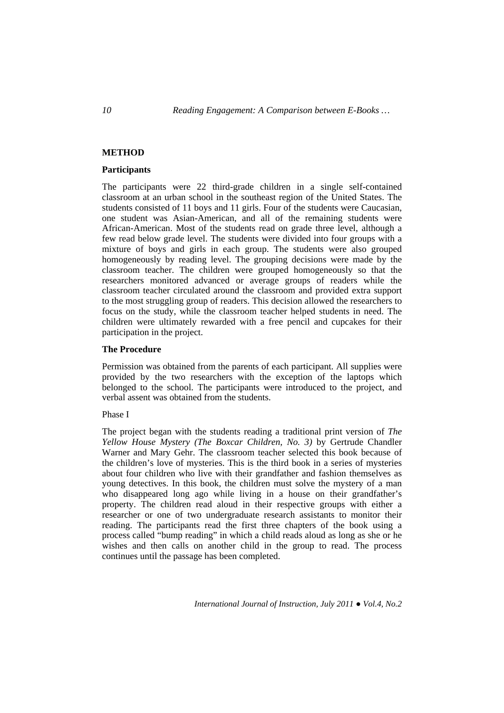## **METHOD**

#### **Participants**

The participants were 22 third-grade children in a single self-contained classroom at an urban school in the southeast region of the United States. The students consisted of 11 boys and 11 girls. Four of the students were Caucasian, one student was Asian-American, and all of the remaining students were African-American. Most of the students read on grade three level, although a few read below grade level. The students were divided into four groups with a mixture of boys and girls in each group. The students were also grouped homogeneously by reading level. The grouping decisions were made by the classroom teacher. The children were grouped homogeneously so that the researchers monitored advanced or average groups of readers while the classroom teacher circulated around the classroom and provided extra support to the most struggling group of readers. This decision allowed the researchers to focus on the study, while the classroom teacher helped students in need. The children were ultimately rewarded with a free pencil and cupcakes for their participation in the project.

### **The Procedure**

Permission was obtained from the parents of each participant. All supplies were provided by the two researchers with the exception of the laptops which belonged to the school. The participants were introduced to the project, and verbal assent was obtained from the students.

## Phase I

The project began with the students reading a traditional print version of *The Yellow House Mystery (The Boxcar Children, No. 3)* by Gertrude Chandler Warner and Mary Gehr. The classroom teacher selected this book because of the children's love of mysteries. This is the third book in a series of mysteries about four children who live with their grandfather and fashion themselves as young detectives. In this book, the children must solve the mystery of a man who disappeared long ago while living in a house on their grandfather's property. The children read aloud in their respective groups with either a researcher or one of two undergraduate research assistants to monitor their reading. The participants read the first three chapters of the book using a process called "bump reading" in which a child reads aloud as long as she or he wishes and then calls on another child in the group to read. The process continues until the passage has been completed.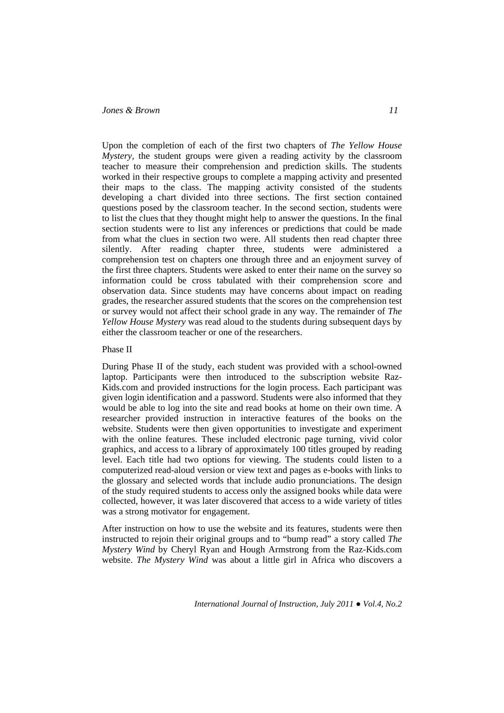Upon the completion of each of the first two chapters of *The Yellow House Mystery*, the student groups were given a reading activity by the classroom teacher to measure their comprehension and prediction skills. The students worked in their respective groups to complete a mapping activity and presented their maps to the class. The mapping activity consisted of the students developing a chart divided into three sections. The first section contained questions posed by the classroom teacher. In the second section, students were to list the clues that they thought might help to answer the questions. In the final section students were to list any inferences or predictions that could be made from what the clues in section two were. All students then read chapter three silently. After reading chapter three, students were administered a comprehension test on chapters one through three and an enjoyment survey of the first three chapters. Students were asked to enter their name on the survey so information could be cross tabulated with their comprehension score and observation data. Since students may have concerns about impact on reading grades, the researcher assured students that the scores on the comprehension test or survey would not affect their school grade in any way. The remainder of *The Yellow House Mystery* was read aloud to the students during subsequent days by either the classroom teacher or one of the researchers.

#### Phase II

During Phase II of the study, each student was provided with a school-owned laptop. Participants were then introduced to the subscription website Raz-Kids.com and provided instructions for the login process. Each participant was given login identification and a password. Students were also informed that they would be able to log into the site and read books at home on their own time. A researcher provided instruction in interactive features of the books on the website. Students were then given opportunities to investigate and experiment with the online features. These included electronic page turning, vivid color graphics, and access to a library of approximately 100 titles grouped by reading level. Each title had two options for viewing. The students could listen to a computerized read-aloud version or view text and pages as e-books with links to the glossary and selected words that include audio pronunciations. The design of the study required students to access only the assigned books while data were collected, however, it was later discovered that access to a wide variety of titles was a strong motivator for engagement.

After instruction on how to use the website and its features, students were then instructed to rejoin their original groups and to "bump read" a story called *The Mystery Wind* by Cheryl Ryan and Hough Armstrong from the Raz-Kids.com website. *The Mystery Wind* was about a little girl in Africa who discovers a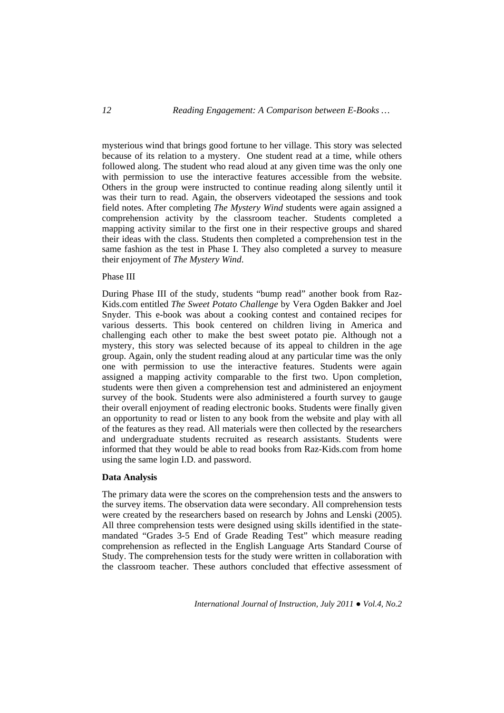mysterious wind that brings good fortune to her village. This story was selected because of its relation to a mystery. One student read at a time, while others followed along. The student who read aloud at any given time was the only one with permission to use the interactive features accessible from the website. Others in the group were instructed to continue reading along silently until it was their turn to read. Again, the observers videotaped the sessions and took field notes. After completing *The Mystery Wind* students were again assigned a comprehension activity by the classroom teacher. Students completed a mapping activity similar to the first one in their respective groups and shared their ideas with the class. Students then completed a comprehension test in the same fashion as the test in Phase I. They also completed a survey to measure their enjoyment of *The Mystery Wind*.

### Phase III

During Phase III of the study, students "bump read" another book from Raz-Kids.com entitled *The Sweet Potato Challenge* by Vera Ogden Bakker and Joel Snyder. This e-book was about a cooking contest and contained recipes for various desserts. This book centered on children living in America and challenging each other to make the best sweet potato pie. Although not a mystery, this story was selected because of its appeal to children in the age group. Again, only the student reading aloud at any particular time was the only one with permission to use the interactive features. Students were again assigned a mapping activity comparable to the first two. Upon completion, students were then given a comprehension test and administered an enjoyment survey of the book. Students were also administered a fourth survey to gauge their overall enjoyment of reading electronic books. Students were finally given an opportunity to read or listen to any book from the website and play with all of the features as they read. All materials were then collected by the researchers and undergraduate students recruited as research assistants. Students were informed that they would be able to read books from Raz-Kids.com from home using the same login I.D. and password.

### **Data Analysis**

The primary data were the scores on the comprehension tests and the answers to the survey items. The observation data were secondary. All comprehension tests were created by the researchers based on research by Johns and Lenski (2005). All three comprehension tests were designed using skills identified in the statemandated "Grades 3-5 End of Grade Reading Test" which measure reading comprehension as reflected in the English Language Arts Standard Course of Study. The comprehension tests for the study were written in collaboration with the classroom teacher. These authors concluded that effective assessment of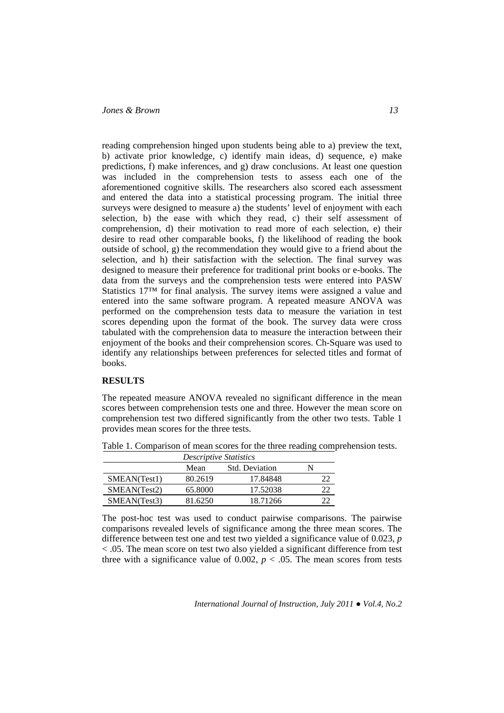reading comprehension hinged upon students being able to a) preview the text, b) activate prior knowledge, c) identify main ideas, d) sequence, e) make predictions, f) make inferences, and g) draw conclusions. At least one question was included in the comprehension tests to assess each one of the aforementioned cognitive skills. The researchers also scored each assessment and entered the data into a statistical processing program. The initial three surveys were designed to measure a) the students' level of enjoyment with each selection, b) the ease with which they read, c) their self assessment of comprehension, d) their motivation to read more of each selection, e) their desire to read other comparable books, f) the likelihood of reading the book outside of school, g) the recommendation they would give to a friend about the selection, and h) their satisfaction with the selection. The final survey was designed to measure their preference for traditional print books or e-books. The data from the surveys and the comprehension tests were entered into PASW Statistics 17™ for final analysis. The survey items were assigned a value and entered into the same software program. A repeated measure ANOVA was performed on the comprehension tests data to measure the variation in test scores depending upon the format of the book. The survey data were cross tabulated with the comprehension data to measure the interaction between their enjoyment of the books and their comprehension scores. Ch-Square was used to identify any relationships between preferences for selected titles and format of books.

#### **RESULTS**

The repeated measure ANOVA revealed no significant difference in the mean scores between comprehension tests one and three. However the mean score on comprehension test two differed significantly from the other two tests. Table 1 provides mean scores for the three tests.

| <b>Descriptive Statistics</b> |         |                       |  |  |
|-------------------------------|---------|-----------------------|--|--|
|                               | Mean    | <b>Std.</b> Deviation |  |  |
| SMEAN(Test1)                  | 80.2619 | 17.84848              |  |  |
| SMEAN(Test2)                  | 65.8000 | 17.52038              |  |  |
| SMEAN(Test3)                  | 81.6250 | 18.71266              |  |  |

Table 1. Comparison of mean scores for the three reading comprehension tests.

The post-hoc test was used to conduct pairwise comparisons. The pairwise comparisons revealed levels of significance among the three mean scores. The difference between test one and test two yielded a significance value of 0.023, *p*  < .05. The mean score on test two also yielded a significant difference from test three with a significance value of 0.002,  $p < .05$ . The mean scores from tests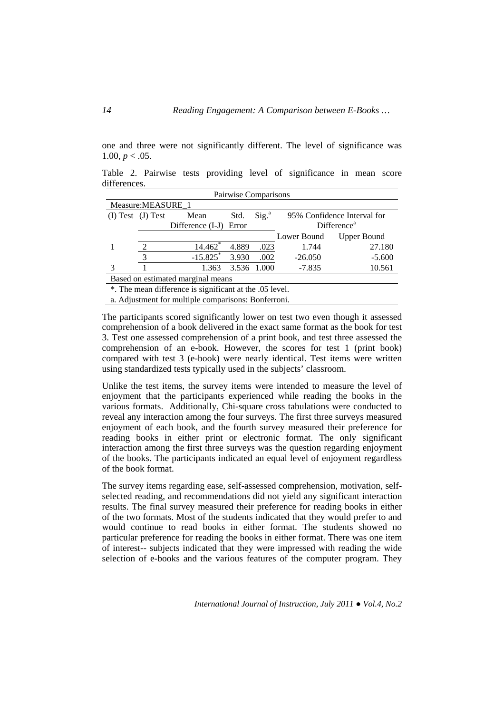one and three were not significantly different. The level of significance was 1.00,  $p < .05$ .

Table 2. Pairwise tests providing level of significance in mean score differences.

| Pairwise Comparisons                                    |                       |                        |       |                   |                             |                    |  |
|---------------------------------------------------------|-----------------------|------------------------|-------|-------------------|-----------------------------|--------------------|--|
| Measure: MEASURE_1                                      |                       |                        |       |                   |                             |                    |  |
|                                                         | $(I) Test$ $(J) Test$ | Mean                   | Std.  | Sig. <sup>a</sup> | 95% Confidence Interval for |                    |  |
|                                                         |                       | Difference (I-J)       | Error |                   | Difference <sup>a</sup>     |                    |  |
|                                                         |                       |                        |       |                   | Lower Bound                 | <b>Upper Bound</b> |  |
|                                                         | 2                     | 14.462*                | 4.889 | .023              | 1.744                       | 27.180             |  |
|                                                         | 3                     | $-15.825$ <sup>*</sup> | 3.930 | .002              | $-26.050$                   | $-5.600$           |  |
|                                                         |                       | 1.363                  |       | 3.536 1.000       | $-7.835$                    | 10.561             |  |
| Based on estimated marginal means                       |                       |                        |       |                   |                             |                    |  |
| *. The mean difference is significant at the .05 level. |                       |                        |       |                   |                             |                    |  |
| a. Adjustment for multiple comparisons: Bonferroni.     |                       |                        |       |                   |                             |                    |  |

The participants scored significantly lower on test two even though it assessed comprehension of a book delivered in the exact same format as the book for test 3. Test one assessed comprehension of a print book, and test three assessed the comprehension of an e-book. However, the scores for test 1 (print book) compared with test 3 (e-book) were nearly identical. Test items were written using standardized tests typically used in the subjects' classroom.

Unlike the test items, the survey items were intended to measure the level of enjoyment that the participants experienced while reading the books in the various formats. Additionally, Chi-square cross tabulations were conducted to reveal any interaction among the four surveys. The first three surveys measured enjoyment of each book, and the fourth survey measured their preference for reading books in either print or electronic format. The only significant interaction among the first three surveys was the question regarding enjoyment of the books. The participants indicated an equal level of enjoyment regardless of the book format.

The survey items regarding ease, self-assessed comprehension, motivation, selfselected reading, and recommendations did not yield any significant interaction results. The final survey measured their preference for reading books in either of the two formats. Most of the students indicated that they would prefer to and would continue to read books in either format. The students showed no particular preference for reading the books in either format. There was one item of interest-- subjects indicated that they were impressed with reading the wide selection of e-books and the various features of the computer program. They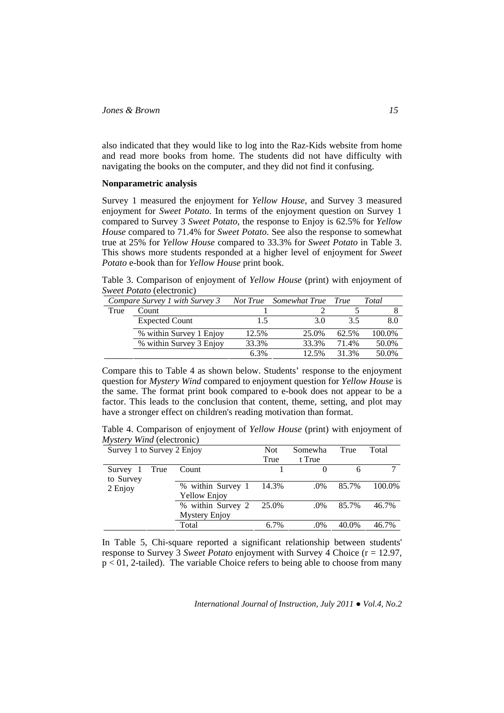also indicated that they would like to log into the Raz-Kids website from home and read more books from home. The students did not have difficulty with navigating the books on the computer, and they did not find it confusing.

### **Nonparametric analysis**

Survey 1 measured the enjoyment for *Yellow House*, and Survey 3 measured enjoyment for *Sweet Potato*. In terms of the enjoyment question on Survey 1 compared to Survey 3 *Sweet Potato*, the response to Enjoy is 62.5% for *Yellow House* compared to 71.4% for *Sweet Potato*. See also the response to somewhat true at 25% for *Yellow House* compared to 33.3% for *Sweet Potato* in Table 3. This shows more students responded at a higher level of enjoyment for *Sweet Potato* e-book than for *Yellow House* print book.

Table 3. Comparison of enjoyment of *Yellow House* (print) with enjoyment of *Sweet Potato* (electronic)

|      | Compare Survey 1 with Survey 3 |       | Not True Somewhat True True |       | Total  |
|------|--------------------------------|-------|-----------------------------|-------|--------|
| True | Count                          |       |                             |       |        |
|      | <b>Expected Count</b>          |       | 3.0                         | 3.5   | 8.0    |
|      | % within Survey 1 Enjoy        | 12.5% | 25.0%                       | 62.5% | 100.0% |
|      | % within Survey 3 Enjoy        | 33.3% | 33.3%                       | 71.4% | 50.0%  |
|      |                                | 6.3%  | 12.5%                       | 31.3% | 50.0%  |

Compare this to Table 4 as shown below. Students' response to the enjoyment question for *Mystery Wind* compared to enjoyment question for *Yellow House* is the same. The format print book compared to e-book does not appear to be a factor. This leads to the conclusion that content, theme, setting, and plot may have a stronger effect on children's reading motivation than format.

Table 4. Comparison of enjoyment of *Yellow House* (print) with enjoyment of *Mystery Wind* (electronic)

| Survey 1 to Survey 2 Enjoy |      |                                          | <b>Not</b> | Somewha | True  | Total  |
|----------------------------|------|------------------------------------------|------------|---------|-------|--------|
|                            |      |                                          | True       | t True  |       |        |
| Survey 1<br>to Survey      | True | Count                                    |            |         | 6     |        |
| 2 Enjoy                    |      | % within Survey 1<br><b>Yellow Enjoy</b> | 14.3%      | .0%     | 85.7% | 100.0% |
|                            |      | % within Survey 2                        | 25.0%      | .0%     | 85.7% | 46.7%  |
|                            |      | <b>Mystery Enjoy</b>                     |            |         |       |        |
|                            |      | Total                                    | 6.7%       | .0%     | 40.0% | 46.7%  |

In Table 5, Chi-square reported a significant relationship between students' response to Survey 3 *Sweet Potato* enjoyment with Survey 4 Choice (r = 12.97,  $p < 0.2$ -tailed). The variable Choice refers to being able to choose from many

*International Journal of Instruction, July 2011 ● Vol.4, No.2*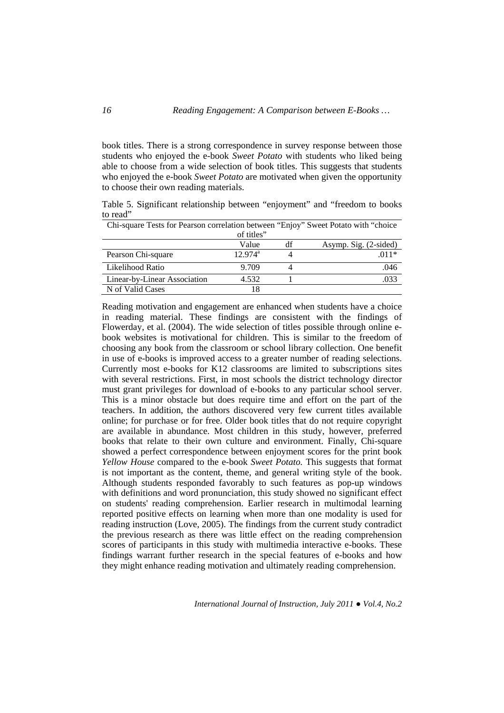book titles. There is a strong correspondence in survey response between those students who enjoyed the e-book *Sweet Potato* with students who liked being able to choose from a wide selection of book titles. This suggests that students who enjoyed the e-book *Sweet Potato* are motivated when given the opportunity to choose their own reading materials.

Table 5. Significant relationship between "enjoyment" and "freedom to books to read"

| Chi-square Tests for Pearson correlation between "Enjoy" Sweet Potato with "choice |                     |    |                       |  |  |  |
|------------------------------------------------------------------------------------|---------------------|----|-----------------------|--|--|--|
| of titles"                                                                         |                     |    |                       |  |  |  |
|                                                                                    | Value               | df | Asymp. Sig. (2-sided) |  |  |  |
| Pearson Chi-square                                                                 | $12.974^{\text{a}}$ |    | $011*$                |  |  |  |
| Likelihood Ratio                                                                   | 9.709               |    | .046                  |  |  |  |
| Linear-by-Linear Association                                                       | 4.532               |    | .033                  |  |  |  |
| N of Valid Cases                                                                   | 18                  |    |                       |  |  |  |

Reading motivation and engagement are enhanced when students have a choice in reading material. These findings are consistent with the findings of Flowerday, et al. (2004). The wide selection of titles possible through online ebook websites is motivational for children. This is similar to the freedom of choosing any book from the classroom or school library collection. One benefit in use of e-books is improved access to a greater number of reading selections. Currently most e-books for K12 classrooms are limited to subscriptions sites with several restrictions. First, in most schools the district technology director must grant privileges for download of e-books to any particular school server. This is a minor obstacle but does require time and effort on the part of the teachers. In addition, the authors discovered very few current titles available online; for purchase or for free. Older book titles that do not require copyright are available in abundance. Most children in this study, however, preferred books that relate to their own culture and environment. Finally, Chi-square showed a perfect correspondence between enjoyment scores for the print book *Yellow House* compared to the e-book *Sweet Potato.* This suggests that format is not important as the content, theme, and general writing style of the book. Although students responded favorably to such features as pop-up windows with definitions and word pronunciation, this study showed no significant effect on students' reading comprehension. Earlier research in multimodal learning reported positive effects on learning when more than one modality is used for reading instruction (Love, 2005). The findings from the current study contradict the previous research as there was little effect on the reading comprehension scores of participants in this study with multimedia interactive e-books. These findings warrant further research in the special features of e-books and how they might enhance reading motivation and ultimately reading comprehension.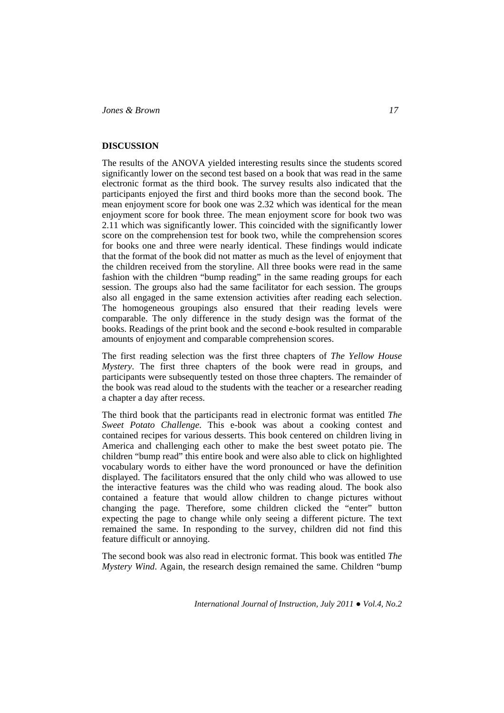## **DISCUSSION**

The results of the ANOVA yielded interesting results since the students scored significantly lower on the second test based on a book that was read in the same electronic format as the third book. The survey results also indicated that the participants enjoyed the first and third books more than the second book. The mean enjoyment score for book one was 2.32 which was identical for the mean enjoyment score for book three. The mean enjoyment score for book two was 2.11 which was significantly lower. This coincided with the significantly lower score on the comprehension test for book two, while the comprehension scores for books one and three were nearly identical. These findings would indicate that the format of the book did not matter as much as the level of enjoyment that the children received from the storyline. All three books were read in the same fashion with the children "bump reading" in the same reading groups for each session. The groups also had the same facilitator for each session. The groups also all engaged in the same extension activities after reading each selection. The homogeneous groupings also ensured that their reading levels were comparable. The only difference in the study design was the format of the books. Readings of the print book and the second e-book resulted in comparable amounts of enjoyment and comparable comprehension scores.

The first reading selection was the first three chapters of *The Yellow House Mystery*. The first three chapters of the book were read in groups, and participants were subsequently tested on those three chapters. The remainder of the book was read aloud to the students with the teacher or a researcher reading a chapter a day after recess.

The third book that the participants read in electronic format was entitled *The Sweet Potato Challenge*. This e-book was about a cooking contest and contained recipes for various desserts. This book centered on children living in America and challenging each other to make the best sweet potato pie. The children "bump read" this entire book and were also able to click on highlighted vocabulary words to either have the word pronounced or have the definition displayed. The facilitators ensured that the only child who was allowed to use the interactive features was the child who was reading aloud. The book also contained a feature that would allow children to change pictures without changing the page. Therefore, some children clicked the "enter" button expecting the page to change while only seeing a different picture. The text remained the same. In responding to the survey, children did not find this feature difficult or annoying.

The second book was also read in electronic format. This book was entitled *The Mystery Wind*. Again, the research design remained the same. Children "bump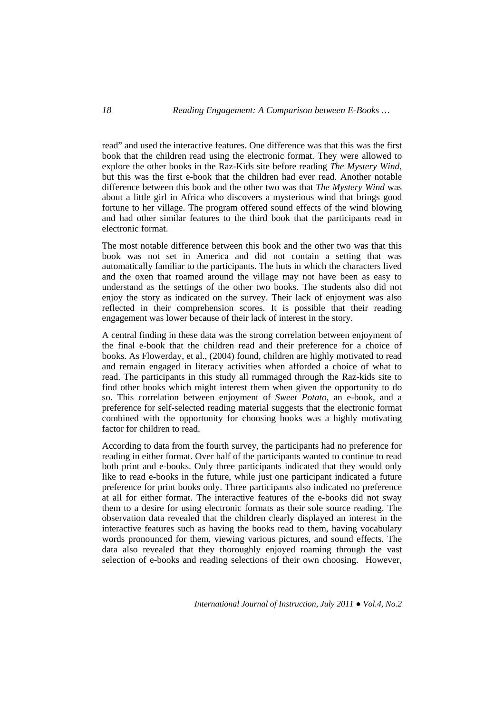read" and used the interactive features. One difference was that this was the first book that the children read using the electronic format. They were allowed to explore the other books in the Raz-Kids site before reading *The Mystery Wind*, but this was the first e-book that the children had ever read. Another notable difference between this book and the other two was that *The Mystery Wind* was about a little girl in Africa who discovers a mysterious wind that brings good fortune to her village. The program offered sound effects of the wind blowing and had other similar features to the third book that the participants read in electronic format.

The most notable difference between this book and the other two was that this book was not set in America and did not contain a setting that was automatically familiar to the participants. The huts in which the characters lived and the oxen that roamed around the village may not have been as easy to understand as the settings of the other two books. The students also did not enjoy the story as indicated on the survey. Their lack of enjoyment was also reflected in their comprehension scores. It is possible that their reading engagement was lower because of their lack of interest in the story.

A central finding in these data was the strong correlation between enjoyment of the final e-book that the children read and their preference for a choice of books. As Flowerday, et al., (2004) found, children are highly motivated to read and remain engaged in literacy activities when afforded a choice of what to read. The participants in this study all rummaged through the Raz-kids site to find other books which might interest them when given the opportunity to do so. This correlation between enjoyment of *Sweet Potato*, an e-book, and a preference for self-selected reading material suggests that the electronic format combined with the opportunity for choosing books was a highly motivating factor for children to read.

According to data from the fourth survey, the participants had no preference for reading in either format. Over half of the participants wanted to continue to read both print and e-books. Only three participants indicated that they would only like to read e-books in the future, while just one participant indicated a future preference for print books only. Three participants also indicated no preference at all for either format. The interactive features of the e-books did not sway them to a desire for using electronic formats as their sole source reading. The observation data revealed that the children clearly displayed an interest in the interactive features such as having the books read to them, having vocabulary words pronounced for them, viewing various pictures, and sound effects. The data also revealed that they thoroughly enjoyed roaming through the vast selection of e-books and reading selections of their own choosing. However,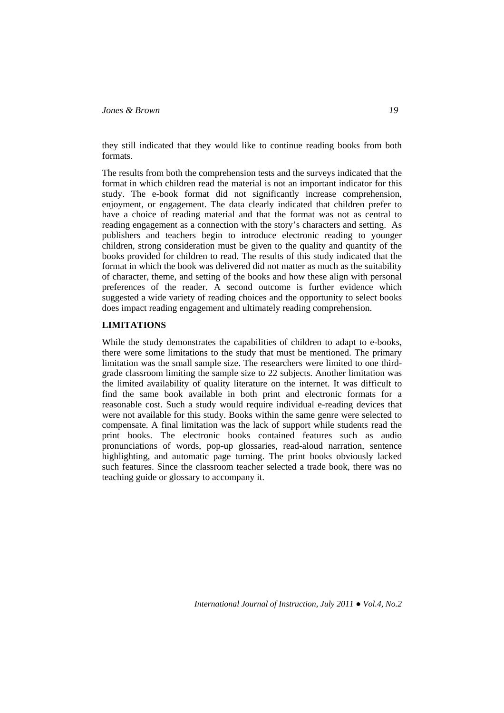they still indicated that they would like to continue reading books from both formats.

The results from both the comprehension tests and the surveys indicated that the format in which children read the material is not an important indicator for this study. The e-book format did not significantly increase comprehension, enjoyment, or engagement. The data clearly indicated that children prefer to have a choice of reading material and that the format was not as central to reading engagement as a connection with the story's characters and setting. As publishers and teachers begin to introduce electronic reading to younger children, strong consideration must be given to the quality and quantity of the books provided for children to read. The results of this study indicated that the format in which the book was delivered did not matter as much as the suitability of character, theme, and setting of the books and how these align with personal preferences of the reader. A second outcome is further evidence which suggested a wide variety of reading choices and the opportunity to select books does impact reading engagement and ultimately reading comprehension.

### **LIMITATIONS**

While the study demonstrates the capabilities of children to adapt to e-books, there were some limitations to the study that must be mentioned. The primary limitation was the small sample size. The researchers were limited to one thirdgrade classroom limiting the sample size to 22 subjects. Another limitation was the limited availability of quality literature on the internet. It was difficult to find the same book available in both print and electronic formats for a reasonable cost. Such a study would require individual e-reading devices that were not available for this study. Books within the same genre were selected to compensate. A final limitation was the lack of support while students read the print books. The electronic books contained features such as audio pronunciations of words, pop-up glossaries, read-aloud narration, sentence highlighting, and automatic page turning. The print books obviously lacked such features. Since the classroom teacher selected a trade book, there was no teaching guide or glossary to accompany it.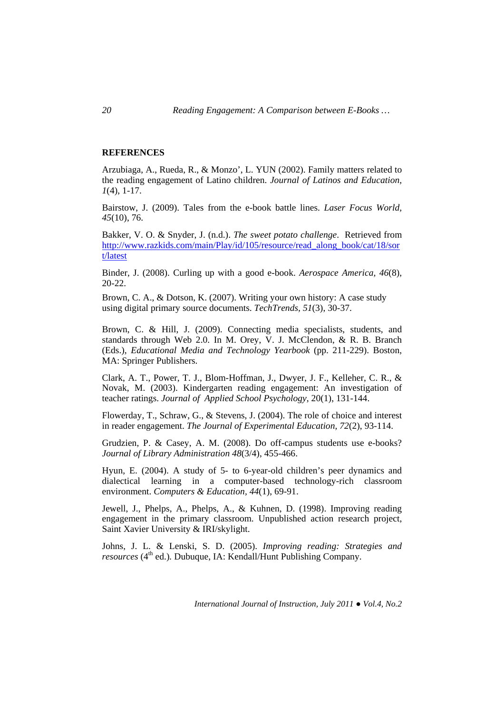## **REFERENCES**

Arzubiaga, A., Rueda, R., & Monzo', L. YUN (2002). Family matters related to the reading engagement of Latino children. *Journal of Latinos and Education, 1*(4), 1-17.

Bairstow, J. (2009). Tales from the e-book battle lines. *Laser Focus World, 45*(10), 76.

Bakker, V. O. & Snyder, J. (n.d.). *The sweet potato challenge*. Retrieved from http://www.razkids.com/main/Play/id/105/resource/read\_along\_book/cat/18/sor t/latest

Binder, J. (2008). Curling up with a good e-book. *Aerospace America, 46*(8), 20-22.

Brown, C. A., & Dotson, K. (2007). Writing your own history: A case study using digital primary source documents. *TechTrends, 51*(3), 30-37.

Brown, C. & Hill, J. (2009). Connecting media specialists, students, and standards through Web 2.0. In M. Orey, V. J. McClendon, & R. B. Branch (Eds.), *Educational Media and Technology Yearbook* (pp. 211-229). Boston, MA: Springer Publishers.

Clark, A. T., Power, T. J., Blom-Hoffman, J., Dwyer, J. F., Kelleher, C. R., & Novak, M. (2003). Kindergarten reading engagement: An investigation of teacher ratings. *Journal of Applied School Psychology*, 20(1), 131-144.

Flowerday, T., Schraw, G., & Stevens, J. (2004). The role of choice and interest in reader engagement. *The Journal of Experimental Education, 72*(2), 93-114.

Grudzien, P. & Casey, A. M. (2008). Do off-campus students use e-books? *Journal of Library Administration 48*(3/4), 455-466.

Hyun, E. (2004). A study of 5- to 6-year-old children's peer dynamics and dialectical learning in a computer-based technology-rich classroom environment. *Computers & Education, 44*(1), 69-91.

Jewell, J., Phelps, A., Phelps, A., & Kuhnen, D. (1998). Improving reading engagement in the primary classroom. Unpublished action research project, Saint Xavier University & IRI/skylight.

Johns, J. L. & Lenski, S. D. (2005). *Improving reading: Strategies and resources* (4<sup>th</sup> ed.). Dubuque, IA: Kendall/Hunt Publishing Company.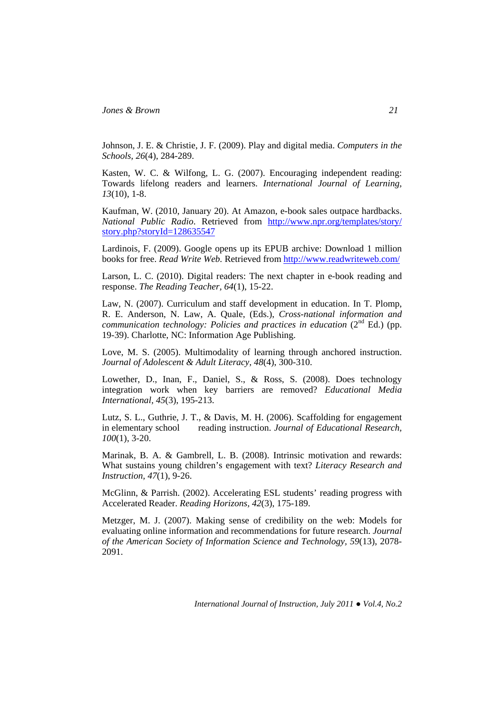Johnson, J. E. & Christie, J. F. (2009). Play and digital media. *Computers in the Schools, 26*(4), 284-289.

Kasten, W. C. & Wilfong, L. G. (2007). Encouraging independent reading: Towards lifelong readers and learners. *International Journal of Learning, 13*(10), 1-8.

Kaufman, W. (2010, January 20). At Amazon, e-book sales outpace hardbacks. *National Public Radio*. Retrieved from http://www.npr.org/templates/story/ story.php?storyId=128635547

Lardinois, F. (2009). Google opens up its EPUB archive: Download 1 million books for free. *Read Write Web.* Retrieved from http://www.readwriteweb.com/

Larson, L. C. (2010). Digital readers: The next chapter in e-book reading and response. *The Reading Teacher, 64*(1), 15-22.

Law, N. (2007). Curriculum and staff development in education. In T. Plomp, R. E. Anderson, N. Law, A. Quale, (Eds.), *Cross-national information and communication technology: Policies and practices in education* (2<sup>nd</sup> Ed.) (pp. 19-39). Charlotte, NC: Information Age Publishing.

Love, M. S. (2005). Multimodality of learning through anchored instruction. *Journal of Adolescent & Adult Literacy, 48*(4), 300-310.

Lowether, D., Inan, F., Daniel, S., & Ross, S. (2008). Does technology integration work when key barriers are removed? *Educational Media International, 45*(3), 195-213.

Lutz, S. L., Guthrie, J. T., & Davis, M. H. (2006). Scaffolding for engagement in elementary school reading instruction. *Journal of Educational Research, 100*(1), 3-20.

Marinak, B. A. & Gambrell, L. B. (2008). Intrinsic motivation and rewards: What sustains young children's engagement with text? *Literacy Research and Instruction, 47*(1), 9-26.

McGlinn, & Parrish. (2002). Accelerating ESL students' reading progress with Accelerated Reader. *Reading Horizons, 42*(3), 175-189.

Metzger, M. J. (2007). Making sense of credibility on the web: Models for evaluating online information and recommendations for future research. *Journal of the American Society of Information Science and Technology, 59*(13), 2078- 2091.

*International Journal of Instruction, July 2011 ● Vol.4, No.2*